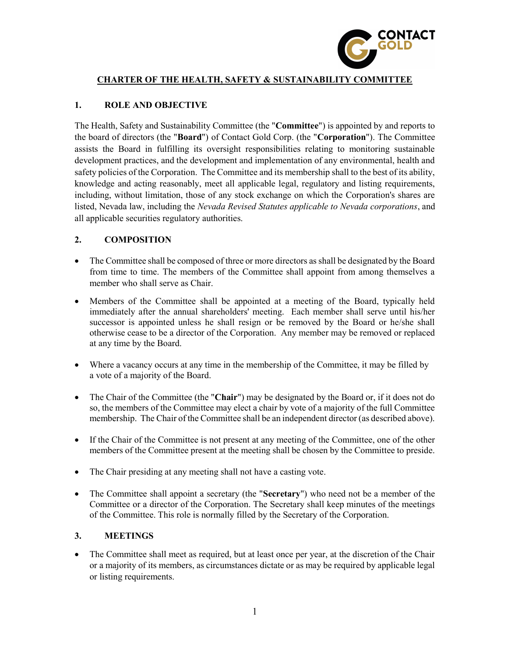

## CHARTER OF THE HEALTH, SAFETY & SUSTAINABILITY COMMITTEE

# 1. ROLE AND OBJECTIVE

The Health, Safety and Sustainability Committee (the "Committee") is appointed by and reports to the board of directors (the "Board") of Contact Gold Corp. (the "Corporation"). The Committee assists the Board in fulfilling its oversight responsibilities relating to monitoring sustainable development practices, and the development and implementation of any environmental, health and safety policies of the Corporation. The Committee and its membership shall to the best of its ability, knowledge and acting reasonably, meet all applicable legal, regulatory and listing requirements, including, without limitation, those of any stock exchange on which the Corporation's shares are listed, Nevada law, including the Nevada Revised Statutes applicable to Nevada corporations, and all applicable securities regulatory authorities.

# 2. COMPOSITION

- The Committee shall be composed of three or more directors as shall be designated by the Board from time to time. The members of the Committee shall appoint from among themselves a member who shall serve as Chair.
- Members of the Committee shall be appointed at a meeting of the Board, typically held immediately after the annual shareholders' meeting. Each member shall serve until his/her successor is appointed unless he shall resign or be removed by the Board or he/she shall otherwise cease to be a director of the Corporation. Any member may be removed or replaced at any time by the Board.
- Where a vacancy occurs at any time in the membership of the Committee, it may be filled by a vote of a majority of the Board.
- The Chair of the Committee (the "Chair") may be designated by the Board or, if it does not do so, the members of the Committee may elect a chair by vote of a majority of the full Committee membership. The Chair of the Committee shall be an independent director (as described above).
- If the Chair of the Committee is not present at any meeting of the Committee, one of the other members of the Committee present at the meeting shall be chosen by the Committee to preside.
- The Chair presiding at any meeting shall not have a casting vote.
- The Committee shall appoint a secretary (the "Secretary") who need not be a member of the Committee or a director of the Corporation. The Secretary shall keep minutes of the meetings of the Committee. This role is normally filled by the Secretary of the Corporation.

#### 3. MEETINGS

• The Committee shall meet as required, but at least once per year, at the discretion of the Chair or a majority of its members, as circumstances dictate or as may be required by applicable legal or listing requirements.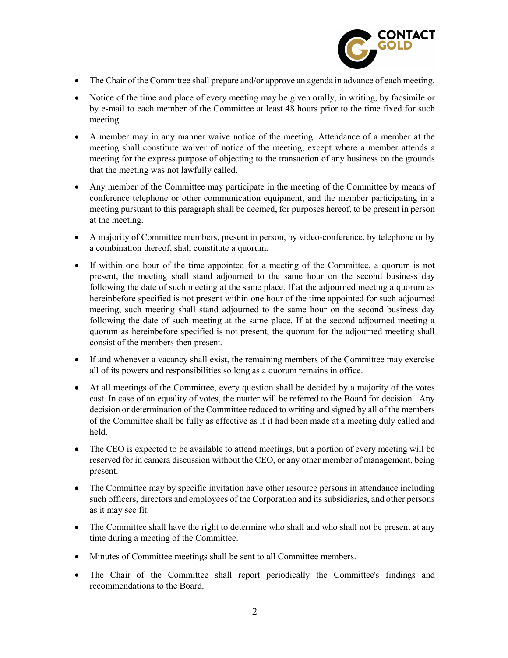

- The Chair of the Committee shall prepare and/or approve an agenda in advance of each meeting.
- Notice of the time and place of every meeting may be given orally, in writing, by facsimile or by e-mail to each member of the Committee at least 48 hours prior to the time fixed for such meeting.
- A member may in any manner waive notice of the meeting. Attendance of a member at the meeting shall constitute waiver of notice of the meeting, except where a member attends a meeting for the express purpose of objecting to the transaction of any business on the grounds that the meeting was not lawfully called.
- Any member of the Committee may participate in the meeting of the Committee by means of conference telephone or other communication equipment, and the member participating in a meeting pursuant to this paragraph shall be deemed, for purposes hereof, to be present in person at the meeting.
- A majority of Committee members, present in person, by video-conference, by telephone or by a combination thereof, shall constitute a quorum.
- If within one hour of the time appointed for a meeting of the Committee, a quorum is not present, the meeting shall stand adjourned to the same hour on the second business day following the date of such meeting at the same place. If at the adjourned meeting a quorum as hereinbefore specified is not present within one hour of the time appointed for such adjourned meeting, such meeting shall stand adjourned to the same hour on the second business day following the date of such meeting at the same place. If at the second adjourned meeting a quorum as hereinbefore specified is not present, the quorum for the adjourned meeting shall consist of the members then present.
- If and whenever a vacancy shall exist, the remaining members of the Committee may exercise all of its powers and responsibilities so long as a quorum remains in office.
- At all meetings of the Committee, every question shall be decided by a majority of the votes cast. In case of an equality of votes, the matter will be referred to the Board for decision. Any decision or determination of the Committee reduced to writing and signed by all of the members of the Committee shall be fully as effective as if it had been made at a meeting duly called and held.
- The CEO is expected to be available to attend meetings, but a portion of every meeting will be reserved for in camera discussion without the CEO, or any other member of management, being present.
- The Committee may by specific invitation have other resource persons in attendance including such officers, directors and employees of the Corporation and its subsidiaries, and other persons as it may see fit.
- The Committee shall have the right to determine who shall and who shall not be present at any time during a meeting of the Committee.
- Minutes of Committee meetings shall be sent to all Committee members.
- The Chair of the Committee shall report periodically the Committee's findings and recommendations to the Board.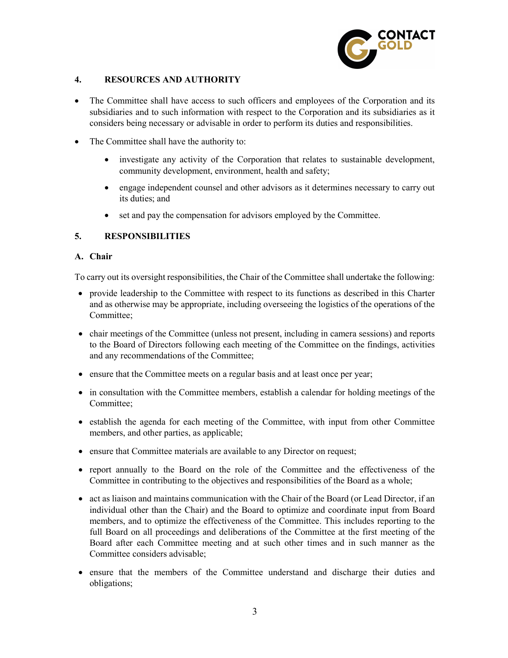

## 4. RESOURCES AND AUTHORITY

- The Committee shall have access to such officers and employees of the Corporation and its subsidiaries and to such information with respect to the Corporation and its subsidiaries as it considers being necessary or advisable in order to perform its duties and responsibilities.
- The Committee shall have the authority to:
	- investigate any activity of the Corporation that relates to sustainable development, community development, environment, health and safety;
	- engage independent counsel and other advisors as it determines necessary to carry out its duties; and
	- set and pay the compensation for advisors employed by the Committee.

## 5. RESPONSIBILITIES

#### A. Chair

To carry out its oversight responsibilities, the Chair of the Committee shall undertake the following:

- provide leadership to the Committee with respect to its functions as described in this Charter and as otherwise may be appropriate, including overseeing the logistics of the operations of the Committee;
- chair meetings of the Committee (unless not present, including in camera sessions) and reports to the Board of Directors following each meeting of the Committee on the findings, activities and any recommendations of the Committee;
- ensure that the Committee meets on a regular basis and at least once per year;
- in consultation with the Committee members, establish a calendar for holding meetings of the Committee;
- establish the agenda for each meeting of the Committee, with input from other Committee members, and other parties, as applicable;
- ensure that Committee materials are available to any Director on request;
- report annually to the Board on the role of the Committee and the effectiveness of the Committee in contributing to the objectives and responsibilities of the Board as a whole;
- act as liaison and maintains communication with the Chair of the Board (or Lead Director, if an individual other than the Chair) and the Board to optimize and coordinate input from Board members, and to optimize the effectiveness of the Committee. This includes reporting to the full Board on all proceedings and deliberations of the Committee at the first meeting of the Board after each Committee meeting and at such other times and in such manner as the Committee considers advisable;
- ensure that the members of the Committee understand and discharge their duties and obligations;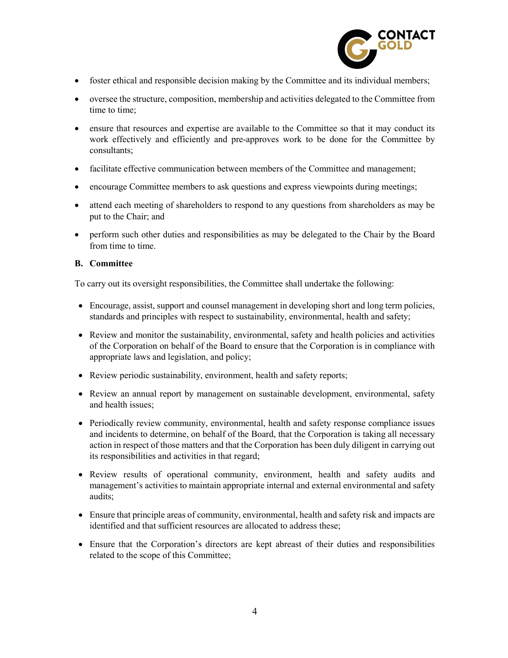

- foster ethical and responsible decision making by the Committee and its individual members;
- oversee the structure, composition, membership and activities delegated to the Committee from time to time;
- ensure that resources and expertise are available to the Committee so that it may conduct its work effectively and efficiently and pre-approves work to be done for the Committee by consultants;
- facilitate effective communication between members of the Committee and management;
- encourage Committee members to ask questions and express viewpoints during meetings;
- attend each meeting of shareholders to respond to any questions from shareholders as may be put to the Chair; and
- perform such other duties and responsibilities as may be delegated to the Chair by the Board from time to time.

#### B. Committee

To carry out its oversight responsibilities, the Committee shall undertake the following:

- Encourage, assist, support and counsel management in developing short and long term policies, standards and principles with respect to sustainability, environmental, health and safety;
- Review and monitor the sustainability, environmental, safety and health policies and activities of the Corporation on behalf of the Board to ensure that the Corporation is in compliance with appropriate laws and legislation, and policy;
- Review periodic sustainability, environment, health and safety reports;
- Review an annual report by management on sustainable development, environmental, safety and health issues;
- Periodically review community, environmental, health and safety response compliance issues and incidents to determine, on behalf of the Board, that the Corporation is taking all necessary action in respect of those matters and that the Corporation has been duly diligent in carrying out its responsibilities and activities in that regard;
- Review results of operational community, environment, health and safety audits and management's activities to maintain appropriate internal and external environmental and safety audits;
- Ensure that principle areas of community, environmental, health and safety risk and impacts are identified and that sufficient resources are allocated to address these;
- Ensure that the Corporation's directors are kept abreast of their duties and responsibilities related to the scope of this Committee;